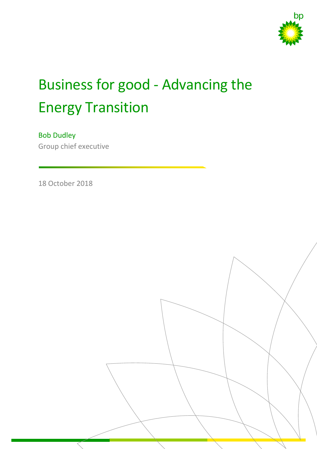

# Business for good - Advancing the Energy Transition

# Bob Dudley

Group chief executive

18 October 2018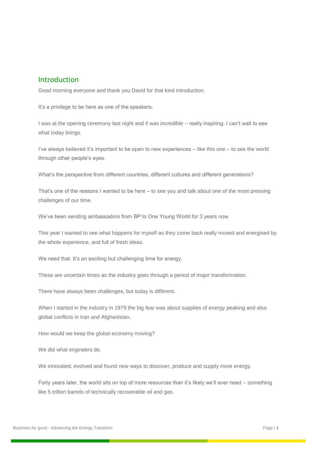#### Introduction

Good morning everyone and thank you David for that kind introduction.

It's a privilege to be here as one of the speakers.

I was at the opening ceremony last night and it was incredible – really inspiring. I can't wait to see what today brings.

I've always believed it's important to be open to new experiences – like this one – to see the world through other people's eyes.

What's the perspective from different countries, different cultures and different generations?

That's one of the reasons I wanted to be here – to see you and talk about one of the most pressing challenges of our time.

We've been sending ambassadors from BP to One Young World for 3 years now.

This year I wanted to see what happens for myself as they come back really moved and energised by the whole experience, and full of fresh ideas.

We need that. It's an exciting but challenging time for energy.

These are uncertain times as the industry goes through a period of major transformation.

There have always been challenges, but today is different.

When I started in the industry in 1979 the big fear was about supplies of energy peaking and also global conflicts in Iran and Afghanistan.

How would we keep the global economy moving?

We did what engineers do.

We innovated, evolved and found new ways to discover, produce and supply more energy.

Forty years later, the world sits on top of more resources than it's likely we'll ever need – something like 5 trillion barrels of technically recoverable oil and gas.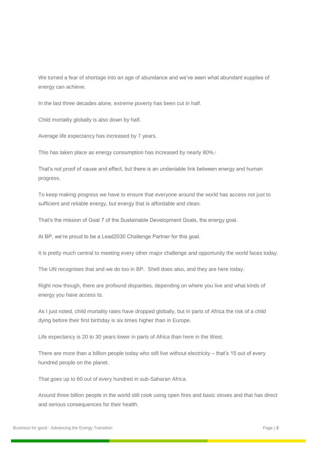We turned a fear of shortage into an age of abundance and we've seen what abundant supplies of energy can achieve.

In the last three decades alone, extreme poverty has been cut in half.

Child mortality globally is also down by half.

Average life expectancy has increased by 7 years.

This has taken place as energy consumption has increased by nearly 80%. 1

That's not proof of cause and effect, but there is an undeniable link between energy and human progress.

To keep making progress we have to ensure that everyone around the world has access not just to sufficient and reliable energy, but energy that is affordable and clean.

That's the mission of Goal 7 of the Sustainable Development Goals, the energy goal.

At BP, we're proud to be a Lead2030 Challenge Partner for this goal.

It is pretty much central to meeting every other major challenge and opportunity the world faces today.

The UN recognises that and we do too in BP. Shell does also, and they are here today.

Right now though, there are profound disparities, depending on where you live and what kinds of energy you have access to.

As I just noted, child mortality rates have dropped globally, but in parts of Africa the risk of a child dying before their first birthday is six times higher than in Europe.

Life expectancy is 20 to 30 years lower in parts of Africa than here in the West.

There are more than a billion people today who still live without electricity – that's 15 out of every hundred people on the planet.

That goes up to 60 out of every hundred in sub-Saharan Africa.

Around three billion people in the world still cook using open fires and basic stoves and that has direct and serious consequences for their health.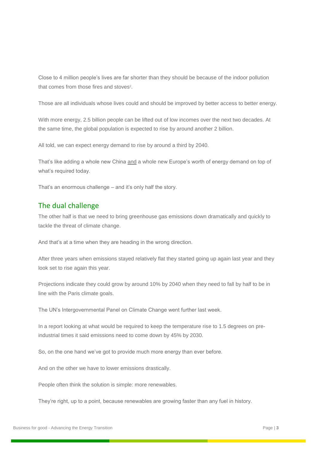Close to 4 million people's lives are far shorter than they should be because of the indoor pollution that comes from those fires and stoves<sup>2</sup>.

Those are all individuals whose lives could and should be improved by better access to better energy.

With more energy, 2.5 billion people can be lifted out of low incomes over the next two decades. At the same time, the global population is expected to rise by around another 2 billion.

All told, we can expect energy demand to rise by around a third by 2040.

That's like adding a whole new China and a whole new Europe's worth of energy demand on top of what's required today.

That's an enormous challenge – and it's only half the story.

### The dual challenge

The other half is that we need to bring greenhouse gas emissions down dramatically and quickly to tackle the threat of climate change.

And that's at a time when they are heading in the wrong direction.

After three years when emissions stayed relatively flat they started going up again last year and they look set to rise again this year.

Projections indicate they could grow by around 10% by 2040 when they need to fall by half to be in line with the Paris climate goals.

The UN's Intergovernmental Panel on Climate Change went further last week.

In a report looking at what would be required to keep the temperature rise to 1.5 degrees on preindustrial times it said emissions need to come down by 45% by 2030.

So, on the one hand we've got to provide much more energy than ever before.

And on the other we have to lower emissions drastically.

People often think the solution is simple: more renewables.

They're right, up to a point, because renewables are growing faster than any fuel in history.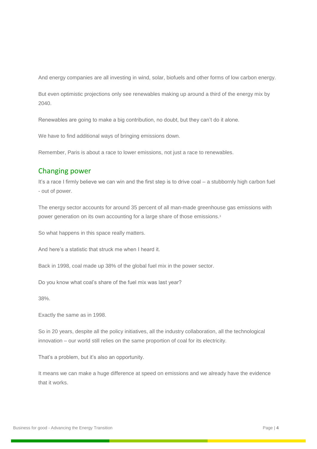And energy companies are all investing in wind, solar, biofuels and other forms of low carbon energy.

But even optimistic projections only see renewables making up around a third of the energy mix by 2040.

Renewables are going to make a big contribution, no doubt, but they can't do it alone.

We have to find additional ways of bringing emissions down.

Remember, Paris is about a race to lower emissions, not just a race to renewables.

### Changing power

It's a race I firmly believe we can win and the first step is to drive coal – a stubbornly high carbon fuel - out of power.

The energy sector accounts for around 35 percent of all man-made greenhouse gas emissions with power generation on its own accounting for a large share of those emissions.<sup>3</sup>

So what happens in this space really matters.

And here's a statistic that struck me when I heard it.

Back in 1998, coal made up 38% of the global fuel mix in the power sector.

Do you know what coal's share of the fuel mix was last year?

38%.

Exactly the same as in 1998.

So in 20 years, despite all the policy initiatives, all the industry collaboration, all the technological innovation – our world still relies on the same proportion of coal for its electricity.

That's a problem, but it's also an opportunity.

It means we can make a huge difference at speed on emissions and we already have the evidence that it works.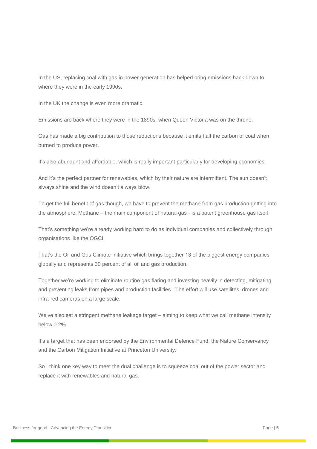In the US, replacing coal with gas in power generation has helped bring emissions back down to where they were in the early 1990s.

In the UK the change is even more dramatic.

Emissions are back where they were in the 1890s, when Queen Victoria was on the throne.

Gas has made a big contribution to those reductions because it emits half the carbon of coal when burned to produce power.

It's also abundant and affordable, which is really important particularly for developing economies.

And it's the perfect partner for renewables, which by their nature are intermittent. The sun doesn't always shine and the wind doesn't always blow.

To get the full benefit of gas though, we have to prevent the methane from gas production getting into the atmosphere. Methane – the main component of natural gas - is a potent greenhouse gas itself.

That's something we're already working hard to do as individual companies and collectively through organisations like the OGCI.

That's the Oil and Gas Climate Initiative which brings together 13 of the biggest energy companies globally and represents 30 percent of all oil and gas production.

Together we're working to eliminate routine gas flaring and investing heavily in detecting, mitigating and preventing leaks from pipes and production facilities. The effort will use satellites, drones and infra-red cameras on a large scale.

We've also set a stringent methane leakage target – aiming to keep what we call methane intensity below 0.2%.

It's a target that has been endorsed by the Environmental Defence Fund, the Nature Conservancy and the Carbon Mitigation Initiative at Princeton University.

So I think one key way to meet the dual challenge is to squeeze coal out of the power sector and replace it with renewables and natural gas.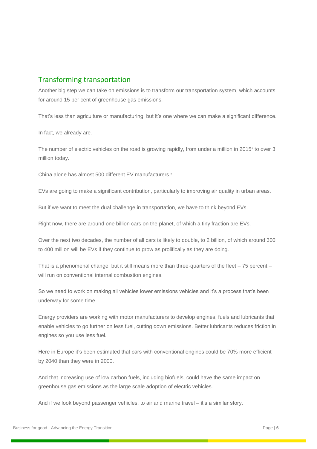## Transforming transportation

Another big step we can take on emissions is to transform our transportation system, which accounts for around 15 per cent of greenhouse gas emissions.

That's less than agriculture or manufacturing, but it's one where we can make a significant difference.

In fact, we already are.

The number of electric vehicles on the road is growing rapidly, from under a million in 2015<sup>4</sup> to over 3 million today.

China alone has almost 500 different EV manufacturers.<sup>5</sup>

EVs are going to make a significant contribution, particularly to improving air quality in urban areas.

But if we want to meet the dual challenge in transportation, we have to think beyond EVs.

Right now, there are around one billion cars on the planet, of which a tiny fraction are EVs.

Over the next two decades, the number of all cars is likely to double, to 2 billion, of which around 300 to 400 million will be EVs if they continue to grow as prolifically as they are doing.

That is a phenomenal change, but it still means more than three-quarters of the fleet – 75 percent – will run on conventional internal combustion engines.

So we need to work on making all vehicles lower emissions vehicles and it's a process that's been underway for some time.

Energy providers are working with motor manufacturers to develop engines, fuels and lubricants that enable vehicles to go further on less fuel, cutting down emissions. Better lubricants reduces friction in engines so you use less fuel.

Here in Europe it's been estimated that cars with conventional engines could be 70% more efficient by 2040 than they were in 2000.

And that increasing use of low carbon fuels, including biofuels, could have the same impact on greenhouse gas emissions as the large scale adoption of electric vehicles.

And if we look beyond passenger vehicles, to air and marine travel – it's a similar story.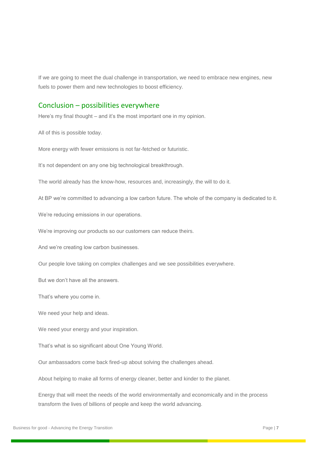If we are going to meet the dual challenge in transportation, we need to embrace new engines, new fuels to power them and new technologies to boost efficiency.

#### Conclusion – possibilities everywhere

Here's my final thought – and it's the most important one in my opinion.

All of this is possible today.

More energy with fewer emissions is not far-fetched or futuristic.

It's not dependent on any one big technological breakthrough.

The world already has the know-how, resources and, increasingly, the will to do it.

At BP we're committed to advancing a low carbon future. The whole of the company is dedicated to it.

We're reducing emissions in our operations.

We're improving our products so our customers can reduce theirs.

And we're creating low carbon businesses.

Our people love taking on complex challenges and we see possibilities everywhere.

But we don't have all the answers.

That's where you come in.

We need your help and ideas.

We need your energy and your inspiration.

That's what is so significant about One Young World.

Our ambassadors come back fired-up about solving the challenges ahead.

About helping to make all forms of energy cleaner, better and kinder to the planet.

Energy that will meet the needs of the world environmentally and economically and in the process transform the lives of billions of people and keep the world advancing.